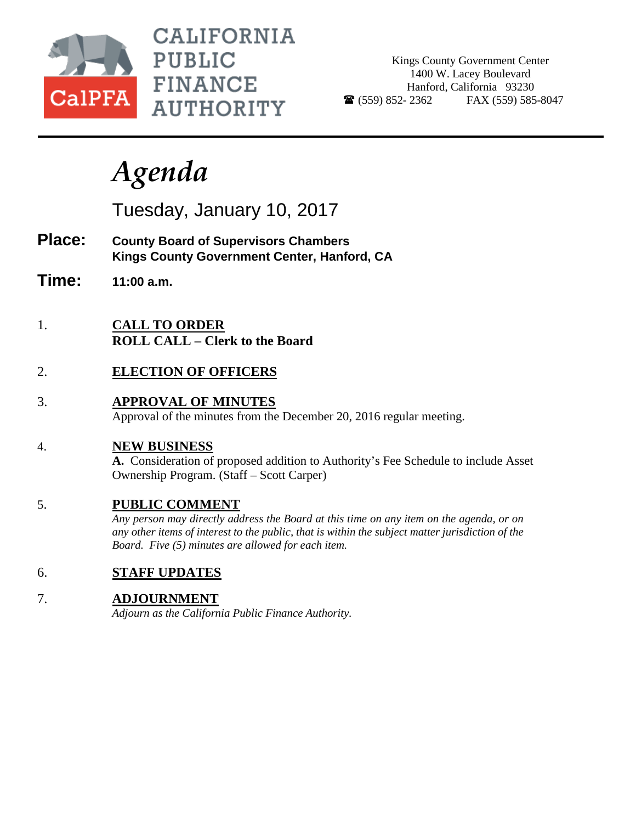

CALIFORNIA **PUBLIC FINANCE AUTHORITY** 

Kings County Government Center 1400 W. Lacey Boulevard Hanford, California 93230  $\bullet$  (559) 852-2362 FAX (559) 585-8047

# *Agenda*

Tuesday, January 10, 2017

- **Place: County Board of Supervisors Chambers Kings County Government Center, Hanford, CA**
- **Time: 11:00 a.m.**
- 1. **CALL TO ORDER ROLL CALL – Clerk to the Board**
- 2. **ELECTION OF OFFICERS**
- 3. **APPROVAL OF MINUTES** Approval of the minutes from the December 20, 2016 regular meeting.

#### 4. **NEW BUSINESS**

**A.** Consideration of proposed addition to Authority's Fee Schedule to include Asset Ownership Program. (Staff – Scott Carper)

### 5. **PUBLIC COMMENT**

*Any person may directly address the Board at this time on any item on the agenda, or on any other items of interest to the public, that is within the subject matter jurisdiction of the Board. Five (5) minutes are allowed for each item.*

### 6. **STAFF UPDATES**

### 7. **ADJOURNMENT**

*Adjourn as the California Public Finance Authority.*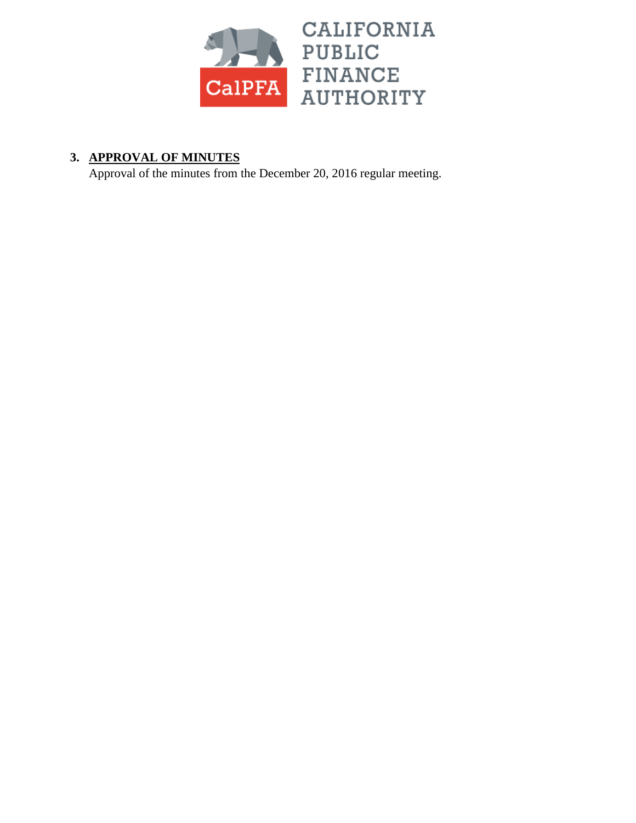

### **3. APPROVAL OF MINUTES**

Approval of the minutes from the December 20, 2016 regular meeting.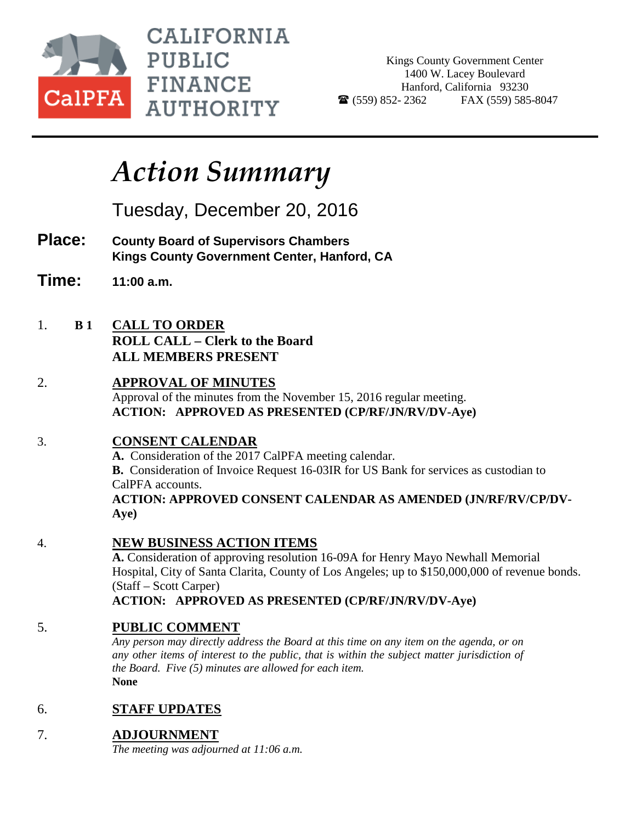

**CALIFORNIA PUBLIC FINANCE AUTHORITY** 

Kings County Government Center 1400 W. Lacey Boulevard Hanford, California 93230  $\bullet$  (559) 852-2362 FAX (559) 585-8047

## *Action Summary*

Tuesday, December 20, 2016

- **Place: County Board of Supervisors Chambers Kings County Government Center, Hanford, CA**
- **Time: 11:00 a.m.**
- 1. **B 1 CALL TO ORDER ROLL CALL – Clerk to the Board ALL MEMBERS PRESENT**
- 2. **APPROVAL OF MINUTES** Approval of the minutes from the November 15, 2016 regular meeting. **ACTION: APPROVED AS PRESENTED (CP/RF/JN/RV/DV-Aye)**

### 3. **CONSENT CALENDAR**

**A.** Consideration of the 2017 CalPFA meeting calendar. **B.** Consideration of Invoice Request 16-03IR for US Bank for services as custodian to CalPFA accounts. **ACTION: APPROVED CONSENT CALENDAR AS AMENDED (JN/RF/RV/CP/DV-Aye)**

#### 4. **NEW BUSINESS ACTION ITEMS**

**A.** Consideration of approving resolution 16-09A for Henry Mayo Newhall Memorial Hospital, City of Santa Clarita, County of Los Angeles; up to \$150,000,000 of revenue bonds. (Staff – Scott Carper)

**ACTION: APPROVED AS PRESENTED (CP/RF/JN/RV/DV-Aye)**

### 5. **PUBLIC COMMENT**

*Any person may directly address the Board at this time on any item on the agenda, or on any other items of interest to the public, that is within the subject matter jurisdiction of the Board. Five (5) minutes are allowed for each item.* **None**

### 6. **STAFF UPDATES**

7. **ADJOURNMENT**

*The meeting was adjourned at 11:06 a.m.*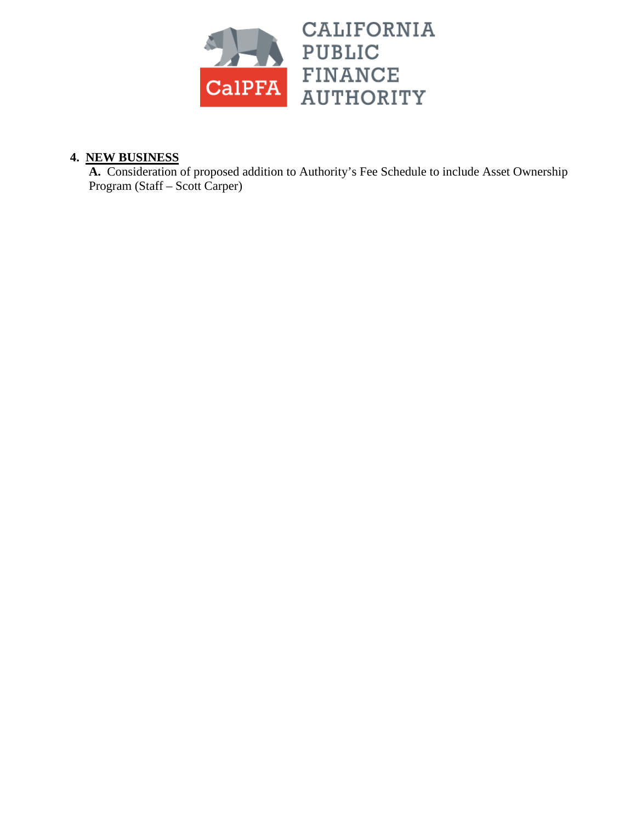

#### **4. NEW BUSINESS**

**A.** Consideration of proposed addition to Authority's Fee Schedule to include Asset Ownership Program (Staff – Scott Carper)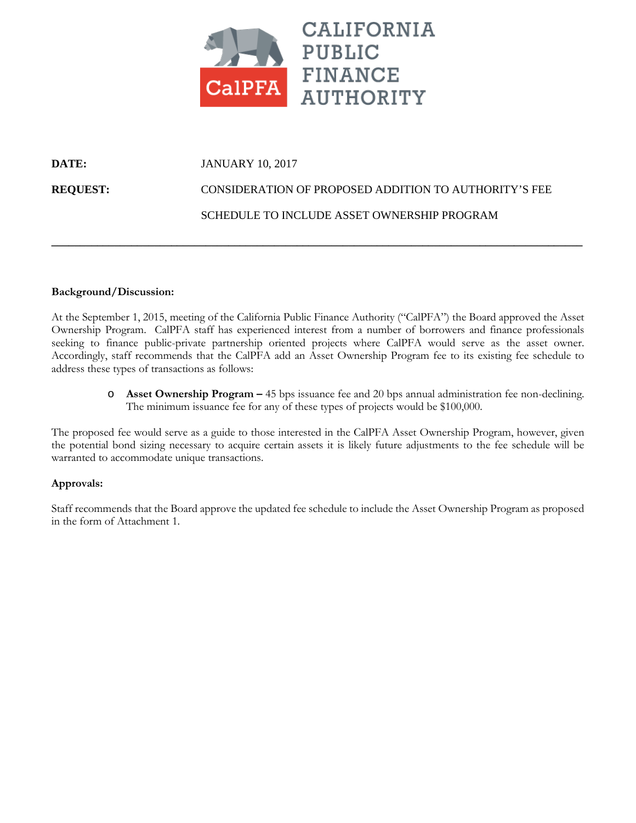

## **DATE: JANUARY 10, 2017 REQUEST:** CONSIDERATION OF PROPOSED ADDITION TO AUTHORITY'S FEE

#### SCHEDULE TO INCLUDE ASSET OWNERSHIP PROGRAM

#### **Background/Discussion:**

At the September 1, 2015, meeting of the California Public Finance Authority ("CalPFA") the Board approved the Asset Ownership Program. CalPFA staff has experienced interest from a number of borrowers and finance professionals seeking to finance public-private partnership oriented projects where CalPFA would serve as the asset owner. Accordingly, staff recommends that the CalPFA add an Asset Ownership Program fee to its existing fee schedule to address these types of transactions as follows:

**\_\_\_\_\_\_\_\_\_\_\_\_\_\_\_\_\_\_\_\_\_\_\_\_\_\_\_\_\_\_\_\_\_\_\_\_\_\_\_\_\_\_\_\_\_\_\_\_\_\_\_\_\_\_\_\_\_\_\_\_\_\_\_\_\_\_\_\_\_\_\_\_\_\_\_\_\_\_\_\_\_\_\_\_\_\_\_\_\_\_\_\_\_**

o **Asset Ownership Program –** 45 bps issuance fee and 20 bps annual administration fee non-declining. The minimum issuance fee for any of these types of projects would be \$100,000.

The proposed fee would serve as a guide to those interested in the CalPFA Asset Ownership Program, however, given the potential bond sizing necessary to acquire certain assets it is likely future adjustments to the fee schedule will be warranted to accommodate unique transactions.

#### **Approvals:**

Staff recommends that the Board approve the updated fee schedule to include the Asset Ownership Program as proposed in the form of Attachment 1.